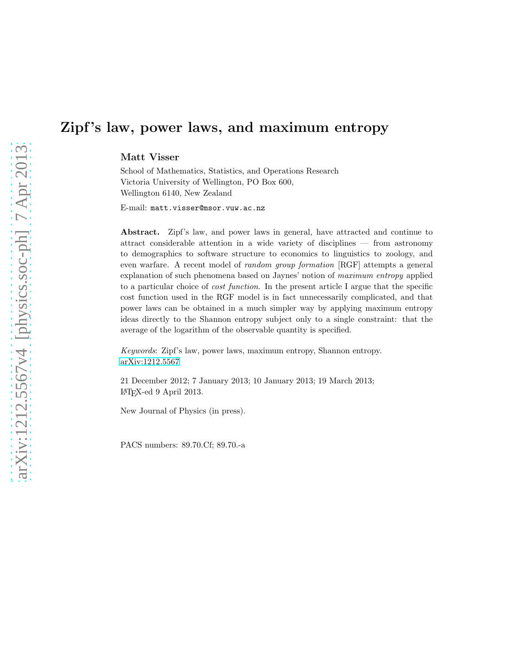# Zipf's law, power laws, and maximum entropy

Matt Visser

School of Mathematics, Statistics, and Operations Research Victoria University of Wellington, PO Box 600, Wellington 6140, New Zealand

E-mail: matt.visser@msor.vuw.ac.nz

Abstract. Zipf's law, and power laws in general, have attracted and continue to attract considerable attention in a wide variety of disciplines — from astronomy to demographics to software structure to economics to linguistics to zoology, and even warfare. A recent model of random group formation [RGF] attempts a general explanation of such phenomena based on Jaynes' notion of maximum entropy applied to a particular choice of cost function. In the present article I argue that the specific cost function used in the RGF model is in fact unnecessarily complicated, and that power laws can be obtained in a much simpler way by applying maximum entropy ideas directly to the Shannon entropy subject only to a single constraint: that the average of the logarithm of the observable quantity is specified.

Keywords: Zipf's law, power laws, maximum entropy, Shannon entropy. [arXiv:1212.5567](http://arxiv.org/abs/1212.5567)

21 December 2012; 7 January 2013; 10 January 2013; 19 March 2013; L<sup>A</sup>TEX-ed 9 April 2013.

New Journal of Physics (in press).

PACS numbers: 89.70.Cf; 89.70.-a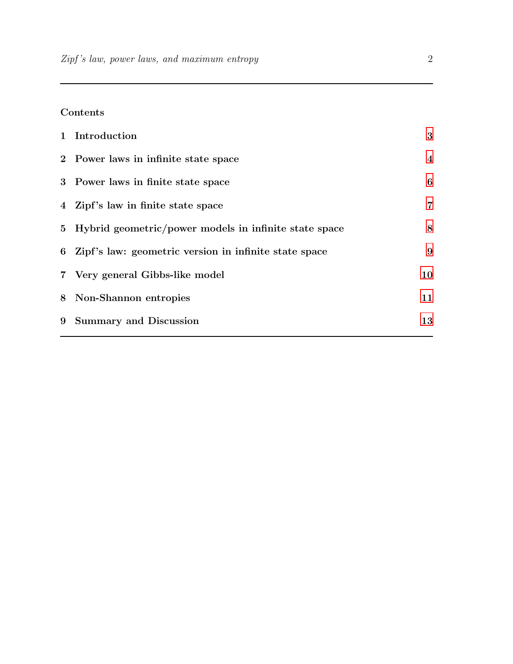# Contents

| 1 Introduction                                          | 3                       |
|---------------------------------------------------------|-------------------------|
| 2 Power laws in infinite state space                    | $\overline{\mathbf{4}}$ |
| 3 Power laws in finite state space                      | 6                       |
| 4 Zipf's law in finite state space                      | $\overline{7}$          |
| 5 Hybrid geometric/power models in infinite state space | 8                       |
| 6 Zipf's law: geometric version in infinite state space | 9                       |
| 7 Very general Gibbs-like model                         | 10                      |
| 8 Non-Shannon entropies                                 | 11                      |
| 9 Summary and Discussion                                | 13                      |
|                                                         |                         |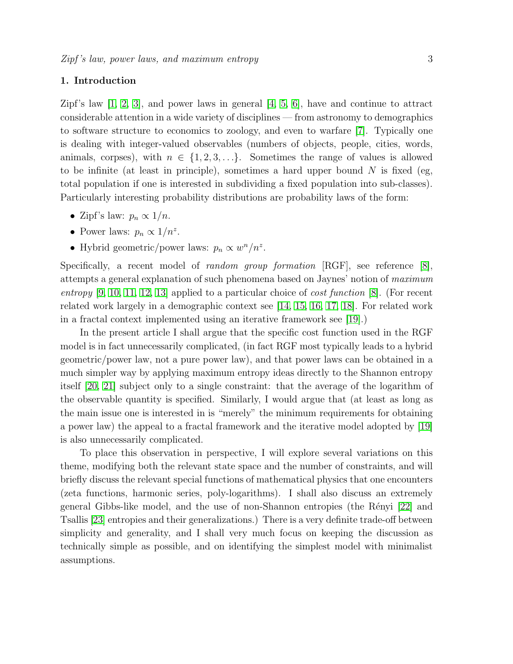## <span id="page-2-0"></span>1. Introduction

Zipf's law  $\vert 1, 2, 3 \vert$  $\vert 1, 2, 3 \vert$  $\vert 1, 2, 3 \vert$ , and power laws in general  $\vert 4, 5, 6 \vert$  $\vert 4, 5, 6 \vert$  $\vert 4, 5, 6 \vert$ , have and continue to attract considerable attention in a wide variety of disciplines — from astronomy to demographics to software structure to economics to zoology, and even to warfare [\[7\]](#page-13-6). Typically one is dealing with integer-valued observables (numbers of objects, people, cities, words, animals, corpses), with  $n \in \{1, 2, 3, \ldots\}$ . Sometimes the range of values is allowed to be infinite (at least in principle), sometimes a hard upper bound  $N$  is fixed (eg, total population if one is interested in subdividing a fixed population into sub-classes). Particularly interesting probability distributions are probability laws of the form:

- Zipf's law:  $p_n \propto 1/n$ .
- Power laws:  $p_n \propto 1/n^z$ .
- Hybrid geometric/power laws:  $p_n \propto w^n/n^z$ .

Specifically, a recent model of *random group formation* [RGF], see reference [\[8\]](#page-13-7), attempts a general explanation of such phenomena based on Jaynes' notion of maximum entropy  $[9, 10, 11, 12, 13]$  $[9, 10, 11, 12, 13]$  $[9, 10, 11, 12, 13]$  $[9, 10, 11, 12, 13]$  $[9, 10, 11, 12, 13]$  applied to a particular choice of *cost function*  $[8]$ . (For recent related work largely in a demographic context see [\[14,](#page-13-13) [15,](#page-13-14) [16,](#page-14-0) [17,](#page-14-1) [18\]](#page-14-2). For related work in a fractal context implemented using an iterative framework see [\[19\]](#page-14-3).)

In the present article I shall argue that the specific cost function used in the RGF model is in fact unnecessarily complicated, (in fact RGF most typically leads to a hybrid geometric/power law, not a pure power law), and that power laws can be obtained in a much simpler way by applying maximum entropy ideas directly to the Shannon entropy itself [\[20,](#page-14-4) [21\]](#page-14-5) subject only to a single constraint: that the average of the logarithm of the observable quantity is specified. Similarly, I would argue that (at least as long as the main issue one is interested in is "merely" the minimum requirements for obtaining a power law) the appeal to a fractal framework and the iterative model adopted by [\[19\]](#page-14-3) is also unnecessarily complicated.

To place this observation in perspective, I will explore several variations on this theme, modifying both the relevant state space and the number of constraints, and will briefly discuss the relevant special functions of mathematical physics that one encounters (zeta functions, harmonic series, poly-logarithms). I shall also discuss an extremely general Gibbs-like model, and the use of non-Shannon entropies (the Rényi [\[22\]](#page-14-6) and Tsallis [\[23\]](#page-14-7) entropies and their generalizations.) There is a very definite trade-off between simplicity and generality, and I shall very much focus on keeping the discussion as technically simple as possible, and on identifying the simplest model with minimalist assumptions.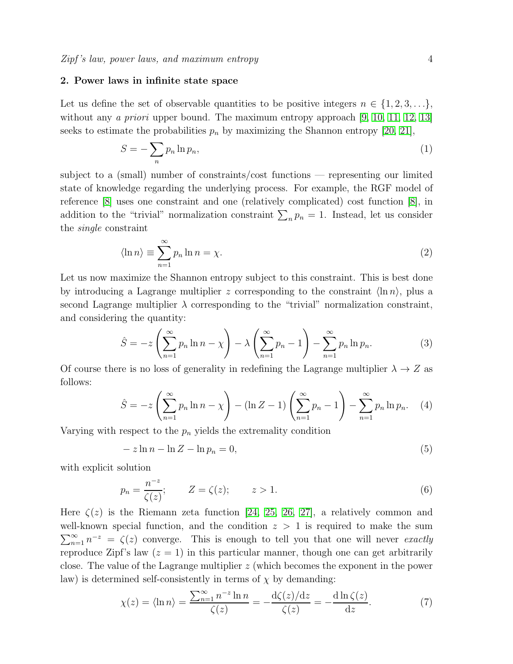## <span id="page-3-0"></span>2. Power laws in infinite state space

Let us define the set of observable quantities to be positive integers  $n \in \{1, 2, 3, \ldots\}$ , without any *a priori* upper bound. The maximum entropy approach [\[9,](#page-13-8) [10,](#page-13-9) [11,](#page-13-10) [12,](#page-13-11) [13\]](#page-13-12) seeks to estimate the probabilities  $p_n$  by maximizing the Shannon entropy [\[20,](#page-14-4) [21\]](#page-14-5),

$$
S = -\sum_{n} p_n \ln p_n,\tag{1}
$$

subject to a (small) number of constraints/cost functions — representing our limited state of knowledge regarding the underlying process. For example, the RGF model of reference [\[8\]](#page-13-7) uses one constraint and one (relatively complicated) cost function [\[8\]](#page-13-7), in addition to the "trivial" normalization constraint  $\sum_n p_n = 1$ . Instead, let us consider the single constraint

$$
\langle \ln n \rangle \equiv \sum_{n=1}^{\infty} p_n \ln n = \chi. \tag{2}
$$

Let us now maximize the Shannon entropy subject to this constraint. This is best done by introducing a Lagrange multiplier z corresponding to the constraint  $\langle \ln n \rangle$ , plus a second Lagrange multiplier  $\lambda$  corresponding to the "trivial" normalization constraint, and considering the quantity:

$$
\hat{S} = -z \left( \sum_{n=1}^{\infty} p_n \ln n - \chi \right) - \lambda \left( \sum_{n=1}^{\infty} p_n - 1 \right) - \sum_{n=1}^{\infty} p_n \ln p_n.
$$
 (3)

Of course there is no loss of generality in redefining the Lagrange multiplier  $\lambda \to Z$  as follows:

$$
\hat{S} = -z \left( \sum_{n=1}^{\infty} p_n \ln n - \chi \right) - (\ln Z - 1) \left( \sum_{n=1}^{\infty} p_n - 1 \right) - \sum_{n=1}^{\infty} p_n \ln p_n.
$$
 (4)

Varying with respect to the  $p_n$  yields the extremality condition

$$
- z \ln n - \ln Z - \ln p_n = 0,\tag{5}
$$

with explicit solution

$$
p_n = \frac{n^{-z}}{\zeta(z)}; \qquad Z = \zeta(z); \qquad z > 1.
$$
 (6)

Here  $\zeta(z)$  is the Riemann zeta function [\[24,](#page-14-8) [25,](#page-14-9) [26,](#page-14-10) [27\]](#page-14-11), a relatively common and well-known special function, and the condition  $z > 1$  is required to make the sum  $\sum_{n=1}^{\infty} n^{-z} = \zeta(z)$  converge. This is enough to tell you that one will never exactly reproduce Zipf's law  $(z = 1)$  in this particular manner, though one can get arbitrarily close. The value of the Lagrange multiplier z (which becomes the exponent in the power law) is determined self-consistently in terms of  $\chi$  by demanding:

$$
\chi(z) = \langle \ln n \rangle = \frac{\sum_{n=1}^{\infty} n^{-z} \ln n}{\zeta(z)} = -\frac{\mathrm{d}\zeta(z)/\mathrm{d}z}{\zeta(z)} = -\frac{\mathrm{d}\ln\zeta(z)}{\mathrm{d}z}.
$$
 (7)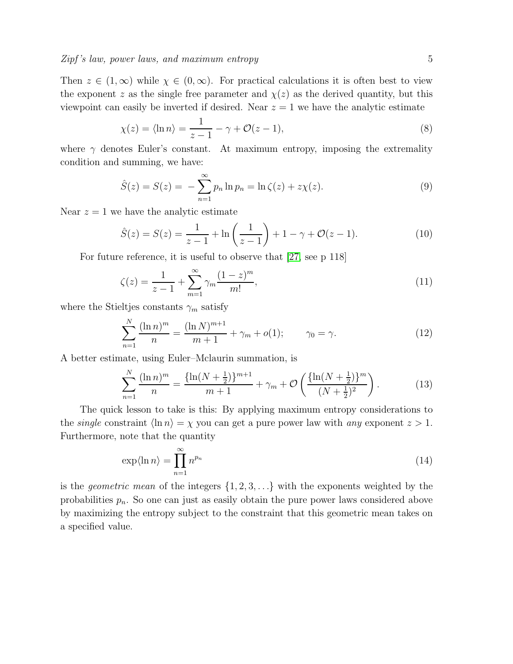Then  $z \in (1,\infty)$  while  $\chi \in (0,\infty)$ . For practical calculations it is often best to view the exponent z as the single free parameter and  $\chi(z)$  as the derived quantity, but this viewpoint can easily be inverted if desired. Near  $z = 1$  we have the analytic estimate

$$
\chi(z) = \langle \ln n \rangle = \frac{1}{z - 1} - \gamma + \mathcal{O}(z - 1),\tag{8}
$$

where  $\gamma$  denotes Euler's constant. At maximum entropy, imposing the extremality condition and summing, we have:

$$
\hat{S}(z) = S(z) = -\sum_{n=1}^{\infty} p_n \ln p_n = \ln \zeta(z) + z\chi(z).
$$
 (9)

Near  $z = 1$  we have the analytic estimate

$$
\hat{S}(z) = S(z) = \frac{1}{z - 1} + \ln\left(\frac{1}{z - 1}\right) + 1 - \gamma + \mathcal{O}(z - 1). \tag{10}
$$

For future reference, it is useful to observe that [\[27,](#page-14-11) see p 118]

$$
\zeta(z) = \frac{1}{z - 1} + \sum_{m=1}^{\infty} \gamma_m \frac{(1 - z)^m}{m!},\tag{11}
$$

where the Stieltjes constants  $\gamma_m$  satisfy

$$
\sum_{n=1}^{N} \frac{(\ln n)^m}{n} = \frac{(\ln N)^{m+1}}{m+1} + \gamma_m + o(1); \qquad \gamma_0 = \gamma. \tag{12}
$$

A better estimate, using Euler–Mclaurin summation, is

$$
\sum_{n=1}^{N} \frac{(\ln n)^m}{n} = \frac{\{\ln(N + \frac{1}{2})\}^{m+1}}{m+1} + \gamma_m + \mathcal{O}\left(\frac{\{\ln(N + \frac{1}{2})\}^m}{(N + \frac{1}{2})^2}\right). \tag{13}
$$

The quick lesson to take is this: By applying maximum entropy considerations to the *single* constraint  $\langle \ln n \rangle = \chi$  you can get a pure power law with any exponent  $z > 1$ . Furthermore, note that the quantity

$$
\exp\langle\ln n\rangle = \prod_{n=1}^{\infty} n^{p_n} \tag{14}
$$

is the *geometric mean* of the integers  $\{1, 2, 3, \ldots\}$  with the exponents weighted by the probabilities  $p_n$ . So one can just as easily obtain the pure power laws considered above by maximizing the entropy subject to the constraint that this geometric mean takes on a specified value.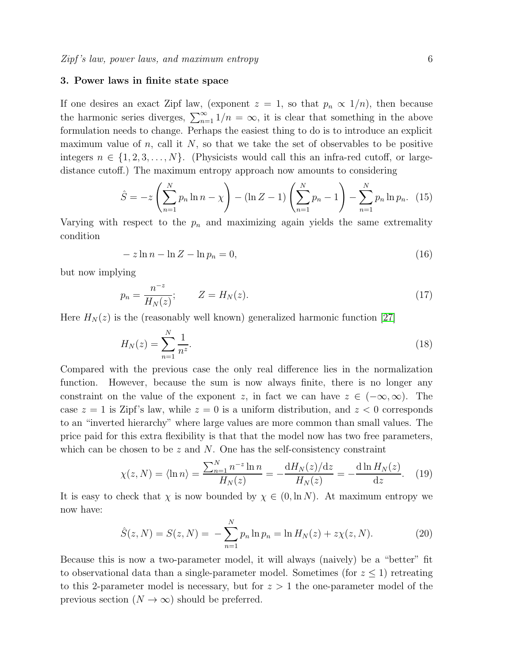## <span id="page-5-0"></span>3. Power laws in finite state space

If one desires an exact Zipf law, (exponent  $z = 1$ , so that  $p_n \propto 1/n$ ), then because the harmonic series diverges,  $\sum_{n=1}^{\infty} 1/n = \infty$ , it is clear that something in the above formulation needs to change. Perhaps the easiest thing to do is to introduce an explicit maximum value of n, call it  $N$ , so that we take the set of observables to be positive integers  $n \in \{1, 2, 3, \ldots, N\}$ . (Physicists would call this an infra-red cutoff, or largedistance cutoff.) The maximum entropy approach now amounts to considering

$$
\hat{S} = -z \left( \sum_{n=1}^{N} p_n \ln n - \chi \right) - (\ln Z - 1) \left( \sum_{n=1}^{N} p_n - 1 \right) - \sum_{n=1}^{N} p_n \ln p_n. \tag{15}
$$

Varying with respect to the  $p_n$  and maximizing again yields the same extremality condition

$$
-z\ln n - \ln Z - \ln p_n = 0,\tag{16}
$$

but now implying

$$
p_n = \frac{n^{-z}}{H_N(z)}; \qquad Z = H_N(z). \tag{17}
$$

Here  $H_N(z)$  is the (reasonably well known) generalized harmonic function [\[27\]](#page-14-11)

$$
H_N(z) = \sum_{n=1}^{N} \frac{1}{n^z}.
$$
\n(18)

Compared with the previous case the only real difference lies in the normalization function. However, because the sum is now always finite, there is no longer any constraint on the value of the exponent z, in fact we can have  $z \in (-\infty, \infty)$ . The case  $z = 1$  is Zipf's law, while  $z = 0$  is a uniform distribution, and  $z < 0$  corresponds to an "inverted hierarchy" where large values are more common than small values. The price paid for this extra flexibility is that that the model now has two free parameters, which can be chosen to be  $z$  and  $N$ . One has the self-consistency constraint

$$
\chi(z, N) = \langle \ln n \rangle = \frac{\sum_{n=1}^{N} n^{-z} \ln n}{H_N(z)} = -\frac{\mathrm{d}H_N(z)/\mathrm{d}z}{H_N(z)} = -\frac{\mathrm{d}\ln H_N(z)}{\mathrm{d}z}.
$$
 (19)

It is easy to check that  $\chi$  is now bounded by  $\chi \in (0, \ln N)$ . At maximum entropy we now have:

$$
\hat{S}(z,N) = S(z,N) = -\sum_{n=1}^{N} p_n \ln p_n = \ln H_N(z) + z\chi(z,N). \tag{20}
$$

Because this is now a two-parameter model, it will always (naively) be a "better" fit to observational data than a single-parameter model. Sometimes (for  $z \leq 1$ ) retreating to this 2-parameter model is necessary, but for  $z > 1$  the one-parameter model of the previous section  $(N \to \infty)$  should be preferred.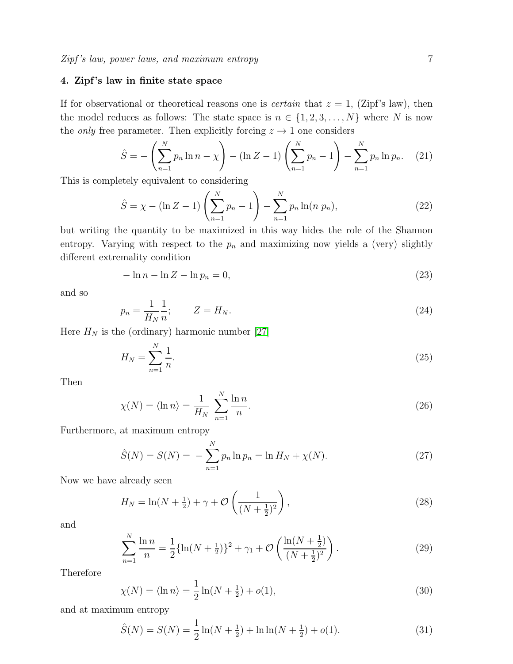## <span id="page-6-0"></span>4. Zipf's law in finite state space

If for observational or theoretical reasons one is *certain* that  $z = 1$ , (Zipf's law), then the model reduces as follows: The state space is  $n \in \{1, 2, 3, ..., N\}$  where N is now the *only* free parameter. Then explicitly forcing  $z \to 1$  one considers

$$
\hat{S} = -\left(\sum_{n=1}^{N} p_n \ln n - \chi\right) - (\ln Z - 1) \left(\sum_{n=1}^{N} p_n - 1\right) - \sum_{n=1}^{N} p_n \ln p_n. \tag{21}
$$

This is completely equivalent to considering

$$
\hat{S} = \chi - (\ln Z - 1) \left( \sum_{n=1}^{N} p_n - 1 \right) - \sum_{n=1}^{N} p_n \ln(n \ p_n),\tag{22}
$$

but writing the quantity to be maximized in this way hides the role of the Shannon entropy. Varying with respect to the  $p_n$  and maximizing now yields a (very) slightly different extremality condition

$$
-\ln n - \ln Z - \ln p_n = 0,\tag{23}
$$

and so

$$
p_n = \frac{1}{H_N} \frac{1}{n}; \qquad Z = H_N. \tag{24}
$$

Here  $H_N$  is the (ordinary) harmonic number [\[27\]](#page-14-11)

$$
H_N = \sum_{n=1}^{N} \frac{1}{n}.\tag{25}
$$

Then

$$
\chi(N) = \langle \ln n \rangle = \frac{1}{H_N} \sum_{n=1}^{N} \frac{\ln n}{n}.
$$
\n(26)

Furthermore, at maximum entropy

$$
\hat{S}(N) = S(N) = -\sum_{n=1}^{N} p_n \ln p_n = \ln H_N + \chi(N). \tag{27}
$$

Now we have already seen

$$
H_N = \ln(N + \frac{1}{2}) + \gamma + \mathcal{O}\left(\frac{1}{(N + \frac{1}{2})^2}\right),\tag{28}
$$

and

$$
\sum_{n=1}^{N} \frac{\ln n}{n} = \frac{1}{2} \{ \ln(N + \frac{1}{2}) \}^2 + \gamma_1 + \mathcal{O}\left(\frac{\ln(N + \frac{1}{2})}{(N + \frac{1}{2})^2}\right). \tag{29}
$$

Therefore

$$
\chi(N) = \langle \ln n \rangle = \frac{1}{2} \ln(N + \frac{1}{2}) + o(1),\tag{30}
$$

and at maximum entropy

$$
\hat{S}(N) = S(N) = \frac{1}{2}\ln(N + \frac{1}{2}) + \ln\ln(N + \frac{1}{2}) + o(1).
$$
\n(31)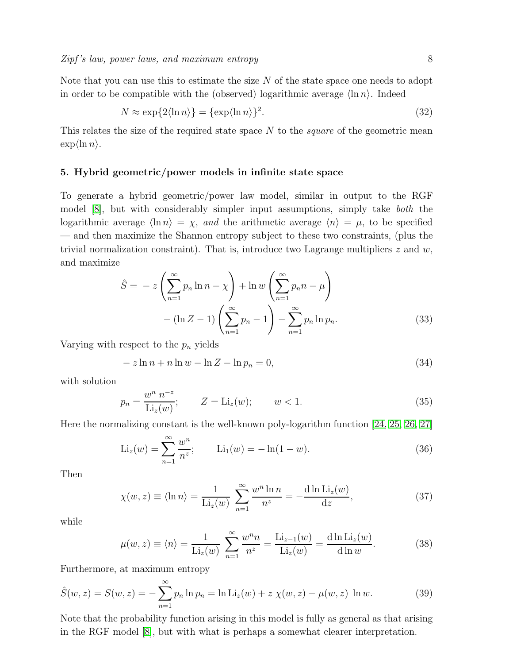Note that you can use this to estimate the size  $N$  of the state space one needs to adopt in order to be compatible with the (observed) logarithmic average  $\langle \ln n \rangle$ . Indeed

$$
N \approx \exp\{2\langle \ln n \rangle\} = \{\exp\langle \ln n \rangle\}^2. \tag{32}
$$

This relates the size of the required state space  $N$  to the *square* of the geometric mean  $\exp\langle \ln n \rangle$ .

## <span id="page-7-0"></span>5. Hybrid geometric/power models in infinite state space

To generate a hybrid geometric/power law model, similar in output to the RGF model [\[8\]](#page-13-7), but with considerably simpler input assumptions, simply take both the logarithmic average  $\langle \ln n \rangle = \chi$ , and the arithmetic average  $\langle n \rangle = \mu$ , to be specified — and then maximize the Shannon entropy subject to these two constraints, (plus the trivial normalization constraint). That is, introduce two Lagrange multipliers  $z$  and  $w$ , and maximize

$$
\hat{S} = -z \left( \sum_{n=1}^{\infty} p_n \ln n - \chi \right) + \ln w \left( \sum_{n=1}^{\infty} p_n n - \mu \right) - (\ln Z - 1) \left( \sum_{n=1}^{\infty} p_n - 1 \right) - \sum_{n=1}^{\infty} p_n \ln p_n.
$$
 (33)

Varying with respect to the  $p_n$  yields

$$
- z \ln n + n \ln w - \ln Z - \ln p_n = 0,
$$
\n(34)

with solution

$$
p_n = \frac{w^n \, n^{-z}}{\text{Li}_z(w)}; \qquad Z = \text{Li}_z(w); \qquad w < 1. \tag{35}
$$

Here the normalizing constant is the well-known poly-logarithm function [\[24,](#page-14-8) [25,](#page-14-9) [26,](#page-14-10) [27\]](#page-14-11)

$$
\text{Li}_z(w) = \sum_{n=1}^{\infty} \frac{w^n}{n^z}; \qquad \text{Li}_1(w) = -\ln(1-w). \tag{36}
$$

Then

$$
\chi(w, z) \equiv \langle \ln n \rangle = \frac{1}{\text{Li}_z(w)} \sum_{n=1}^{\infty} \frac{w^n \ln n}{n^z} = -\frac{\text{d} \ln \text{Li}_z(w)}{\text{d} z},\tag{37}
$$

while

$$
\mu(w, z) \equiv \langle n \rangle = \frac{1}{\text{Li}_z(w)} \sum_{n=1}^{\infty} \frac{w^n n}{n^z} = \frac{\text{Li}_{z-1}(w)}{\text{Li}_z(w)} = \frac{\text{d}\ln \text{Li}_z(w)}{\text{d}\ln w}.
$$
 (38)

Furthermore, at maximum entropy

$$
\hat{S}(w, z) = S(w, z) = -\sum_{n=1}^{\infty} p_n \ln p_n = \ln \text{Li}_z(w) + z \chi(w, z) - \mu(w, z) \ln w.
$$
 (39)

Note that the probability function arising in this model is fully as general as that arising in the RGF model [\[8\]](#page-13-7), but with what is perhaps a somewhat clearer interpretation.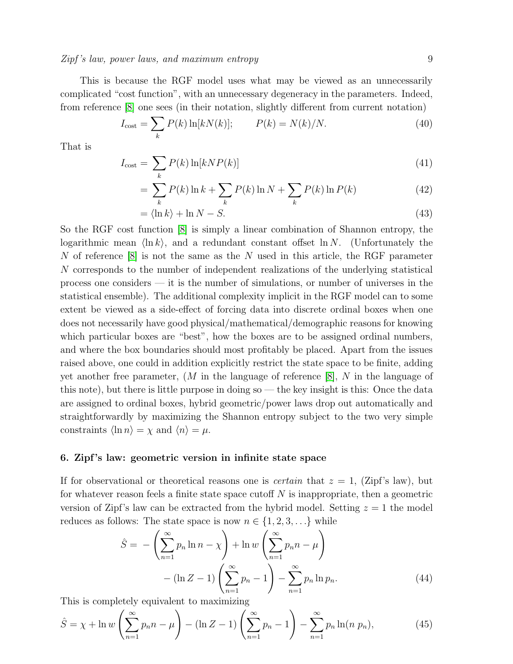This is because the RGF model uses what may be viewed as an unnecessarily complicated "cost function", with an unnecessary degeneracy in the parameters. Indeed, from reference [\[8\]](#page-13-7) one sees (in their notation, slightly different from current notation)

$$
I_{\text{cost}} = \sum_{k} P(k) \ln[kN(k)]; \qquad P(k) = N(k)/N. \tag{40}
$$

That is

$$
I_{\text{cost}} = \sum_{k} P(k) \ln[kNP(k)] \tag{41}
$$

$$
= \sum_{k} P(k) \ln k + \sum_{k} P(k) \ln N + \sum_{k} P(k) \ln P(k)
$$
 (42)

$$
= \langle \ln k \rangle + \ln N - S. \tag{43}
$$

So the RGF cost function [\[8\]](#page-13-7) is simply a linear combination of Shannon entropy, the logarithmic mean  $\langle \ln k \rangle$ , and a redundant constant offset ln N. (Unfortunately the N of reference  $[8]$  is not the same as the N used in this article, the RGF parameter N corresponds to the number of independent realizations of the underlying statistical process one considers — it is the number of simulations, or number of universes in the statistical ensemble). The additional complexity implicit in the RGF model can to some extent be viewed as a side-effect of forcing data into discrete ordinal boxes when one does not necessarily have good physical/mathematical/demographic reasons for knowing which particular boxes are "best", how the boxes are to be assigned ordinal numbers, and where the box boundaries should most profitably be placed. Apart from the issues raised above, one could in addition explicitly restrict the state space to be finite, adding yet another free parameter,  $(M \text{ in the language of reference } [8], N \text{ in the language of }$  $(M \text{ in the language of reference } [8], N \text{ in the language of }$  $(M \text{ in the language of reference } [8], N \text{ in the language of }$ this note), but there is little purpose in doing so — the key insight is this: Once the data are assigned to ordinal boxes, hybrid geometric/power laws drop out automatically and straightforwardly by maximizing the Shannon entropy subject to the two very simple constraints  $\langle \ln n \rangle = \chi$  and  $\langle n \rangle = \mu$ .

#### <span id="page-8-0"></span>6. Zipf 's law: geometric version in infinite state space

If for observational or theoretical reasons one is *certain* that  $z = 1$ , (Zipf's law), but for whatever reason feels a finite state space cutoff  $N$  is inappropriate, then a geometric version of Zipf's law can be extracted from the hybrid model. Setting  $z = 1$  the model reduces as follows: The state space is now  $n \in \{1, 2, 3, \ldots\}$  while

$$
\hat{S} = -\left(\sum_{n=1}^{\infty} p_n \ln n - \chi\right) + \ln w \left(\sum_{n=1}^{\infty} p_n n - \mu\right) - (\ln Z - 1) \left(\sum_{n=1}^{\infty} p_n - 1\right) - \sum_{n=1}^{\infty} p_n \ln p_n.
$$
\n(44)

This is completely equivalent to maximizing

$$
\hat{S} = \chi + \ln w \left( \sum_{n=1}^{\infty} p_n n - \mu \right) - (\ln Z - 1) \left( \sum_{n=1}^{\infty} p_n - 1 \right) - \sum_{n=1}^{\infty} p_n \ln(n \ p_n), \tag{45}
$$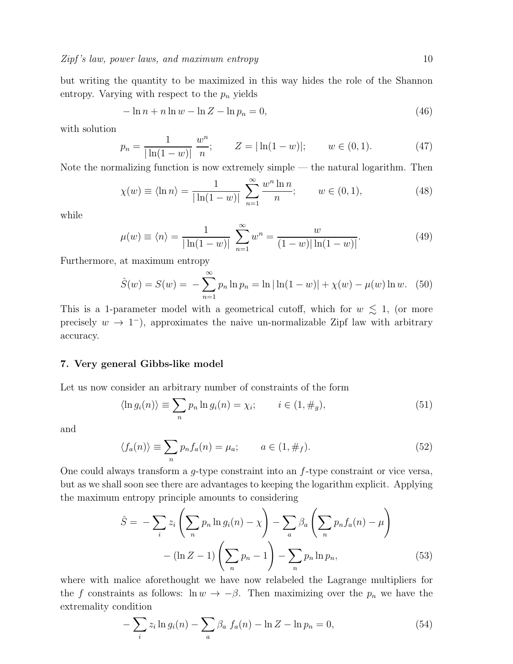but writing the quantity to be maximized in this way hides the role of the Shannon entropy. Varying with respect to the  $p_n$  yields

$$
-\ln n + n\ln w - \ln Z - \ln p_n = 0,\t\t(46)
$$

with solution

$$
p_n = \frac{1}{|\ln(1-w)|} \frac{w^n}{n}; \qquad Z = |\ln(1-w)|; \qquad w \in (0,1). \tag{47}
$$

Note the normalizing function is now extremely simple — the natural logarithm. Then

$$
\chi(w) \equiv \langle \ln n \rangle = \frac{1}{|\ln(1-w)|} \sum_{n=1}^{\infty} \frac{w^n \ln n}{n}; \qquad w \in (0,1),
$$
 (48)

while

$$
\mu(w) \equiv \langle n \rangle = \frac{1}{|\ln(1-w)|} \sum_{n=1}^{\infty} w^n = \frac{w}{(1-w)|\ln(1-w)|}. \tag{49}
$$

Furthermore, at maximum entropy

$$
\hat{S}(w) = S(w) = -\sum_{n=1}^{\infty} p_n \ln p_n = \ln|\ln(1-w)| + \chi(w) - \mu(w) \ln w. \tag{50}
$$

This is a 1-parameter model with a geometrical cutoff, which for  $w \lesssim 1$ , (or more precisely  $w \to 1^-$ ), approximates the naive un-normalizable Zipf law with arbitrary accuracy.

#### <span id="page-9-0"></span>7. Very general Gibbs-like model

Let us now consider an arbitrary number of constraints of the form

$$
\langle \ln g_i(n) \rangle \equiv \sum_n p_n \ln g_i(n) = \chi_i; \qquad i \in (1, \#_g), \tag{51}
$$

and

$$
\langle f_a(n) \rangle \equiv \sum_n p_n f_a(n) = \mu_a; \qquad a \in (1, \#_f). \tag{52}
$$

One could always transform a  $q$ -type constraint into an  $f$ -type constraint or vice versa, but as we shall soon see there are advantages to keeping the logarithm explicit. Applying the maximum entropy principle amounts to considering

$$
\hat{S} = -\sum_{i} z_i \left( \sum_{n} p_n \ln g_i(n) - \chi \right) - \sum_{a} \beta_a \left( \sum_{n} p_n f_a(n) - \mu \right)
$$

$$
- (\ln Z - 1) \left( \sum_{n} p_n - 1 \right) - \sum_{n} p_n \ln p_n, \tag{53}
$$

where with malice aforethought we have now relabeled the Lagrange multipliers for the f constraints as follows:  $\ln w \to -\beta$ . Then maximizing over the  $p_n$  we have the extremality condition

$$
-\sum_{i} z_i \ln g_i(n) - \sum_{a} \beta_a f_a(n) - \ln Z - \ln p_n = 0,
$$
\n(54)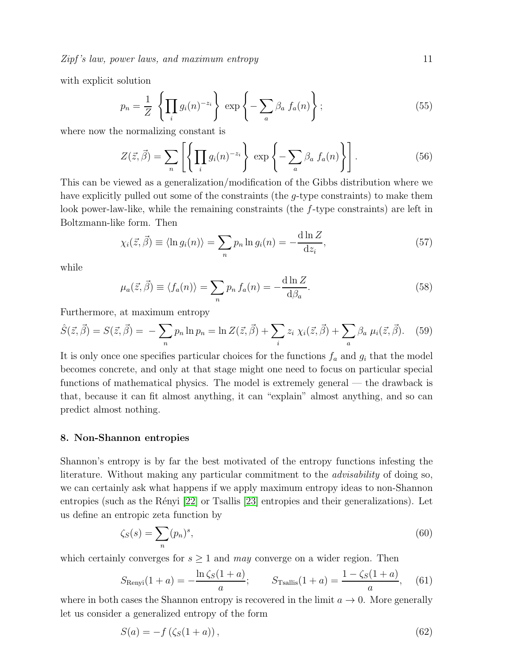with explicit solution

$$
p_n = \frac{1}{Z} \left\{ \prod_i g_i(n)^{-z_i} \right\} \exp \left\{ -\sum_a \beta_a f_a(n) \right\};\tag{55}
$$

where now the normalizing constant is

$$
Z(\vec{z}, \vec{\beta}) = \sum_{n} \left[ \left\{ \prod_{i} g_i(n)^{-z_i} \right\} \exp \left\{ -\sum_{a} \beta_a f_a(n) \right\} \right]. \tag{56}
$$

This can be viewed as a generalization/modification of the Gibbs distribution where we have explicitly pulled out some of the constraints (the *q*-type constraints) to make them look power-law-like, while the remaining constraints (the f-type constraints) are left in Boltzmann-like form. Then

$$
\chi_i(\vec{z}, \vec{\beta}) \equiv \langle \ln g_i(n) \rangle = \sum_n p_n \ln g_i(n) = -\frac{\mathrm{d} \ln Z}{\mathrm{d} z_i},\tag{57}
$$

while

$$
\mu_a(\vec{z}, \vec{\beta}) \equiv \langle f_a(n) \rangle = \sum_n p_n f_a(n) = -\frac{\mathrm{d} \ln Z}{\mathrm{d} \beta_a}.
$$
\n(58)

Furthermore, at maximum entropy

$$
\hat{S}(\vec{z}, \vec{\beta}) = S(\vec{z}, \vec{\beta}) = -\sum_{n} p_n \ln p_n = \ln Z(\vec{z}, \vec{\beta}) + \sum_{i} z_i \chi_i(\vec{z}, \vec{\beta}) + \sum_{a} \beta_a \mu_i(\vec{z}, \vec{\beta}). \tag{59}
$$

It is only once one specifies particular choices for the functions  $f_a$  and  $g_i$  that the model becomes concrete, and only at that stage might one need to focus on particular special functions of mathematical physics. The model is extremely general — the drawback is that, because it can fit almost anything, it can "explain" almost anything, and so can predict almost nothing.

## <span id="page-10-0"></span>8. Non-Shannon entropies

Shannon's entropy is by far the best motivated of the entropy functions infesting the literature. Without making any particular commitment to the advisability of doing so, we can certainly ask what happens if we apply maximum entropy ideas to non-Shannon entropies (such as the Rényi [\[22\]](#page-14-6) or Tsallis [\[23\]](#page-14-7) entropies and their generalizations). Let us define an entropic zeta function by

$$
\zeta_S(s) = \sum_n (p_n)^s,\tag{60}
$$

which certainly converges for  $s \geq 1$  and may converge on a wider region. Then

$$
S_{\text{Renyi}}(1+a) = -\frac{\ln \zeta_S(1+a)}{a}; \qquad S_{\text{Tsallis}}(1+a) = \frac{1-\zeta_S(1+a)}{a}, \quad (61)
$$

where in both cases the Shannon entropy is recovered in the limit  $a \to 0$ . More generally let us consider a generalized entropy of the form

$$
S(a) = -f\left(\zeta_S(1+a)\right),\tag{62}
$$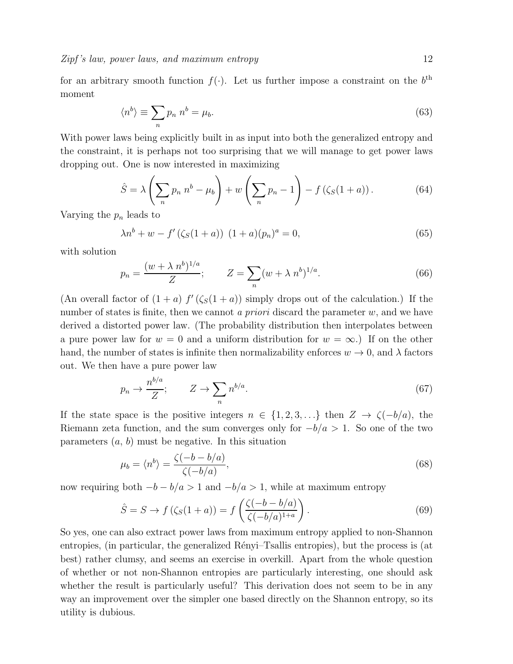for an arbitrary smooth function  $f(\cdot)$ . Let us further impose a constraint on the  $b<sup>th</sup>$ moment

$$
\langle n^b \rangle \equiv \sum_n p_n \; n^b = \mu_b. \tag{63}
$$

With power laws being explicitly built in as input into both the generalized entropy and the constraint, it is perhaps not too surprising that we will manage to get power laws dropping out. One is now interested in maximizing

$$
\hat{S} = \lambda \left( \sum_{n} p_n n^b - \mu_b \right) + w \left( \sum_{n} p_n - 1 \right) - f \left( \zeta_S (1 + a) \right). \tag{64}
$$

Varying the  $p_n$  leads to

$$
\lambda n^{b} + w - f'(\zeta s(1+a)) (1+a)(p_{n})^{a} = 0,
$$
\n(65)

with solution

$$
p_n = \frac{(w + \lambda n^b)^{1/a}}{Z}; \qquad Z = \sum_n (w + \lambda n^b)^{1/a}.
$$
 (66)

(An overall factor of  $(1 + a)$   $f'(\zeta_s(1 + a))$  simply drops out of the calculation.) If the number of states is finite, then we cannot a priori discard the parameter  $w$ , and we have derived a distorted power law. (The probability distribution then interpolates between a pure power law for  $w = 0$  and a uniform distribution for  $w = \infty$ .) If on the other hand, the number of states is infinite then normalizability enforces  $w \to 0$ , and  $\lambda$  factors out. We then have a pure power law

$$
p_n \to \frac{n^{b/a}}{Z}; \qquad Z \to \sum_n n^{b/a}.\tag{67}
$$

If the state space is the positive integers  $n \in \{1, 2, 3, ...\}$  then  $Z \to \zeta(-b/a)$ , the Riemann zeta function, and the sum converges only for  $-b/a > 1$ . So one of the two parameters  $(a, b)$  must be negative. In this situation

$$
\mu_b = \langle n^b \rangle = \frac{\zeta(-b - b/a)}{\zeta(-b/a)},\tag{68}
$$

now requiring both  $-b - b/a > 1$  and  $-b/a > 1$ , while at maximum entropy

$$
\hat{S} = S \to f\left(\zeta_S(1+a)\right) = f\left(\frac{\zeta(-b-b/a)}{\zeta(-b/a)^{1+a}}\right). \tag{69}
$$

So yes, one can also extract power laws from maximum entropy applied to non-Shannon entropies, (in particular, the generalized Rényi–Tsallis entropies), but the process is (at best) rather clumsy, and seems an exercise in overkill. Apart from the whole question of whether or not non-Shannon entropies are particularly interesting, one should ask whether the result is particularly useful? This derivation does not seem to be in any way an improvement over the simpler one based directly on the Shannon entropy, so its utility is dubious.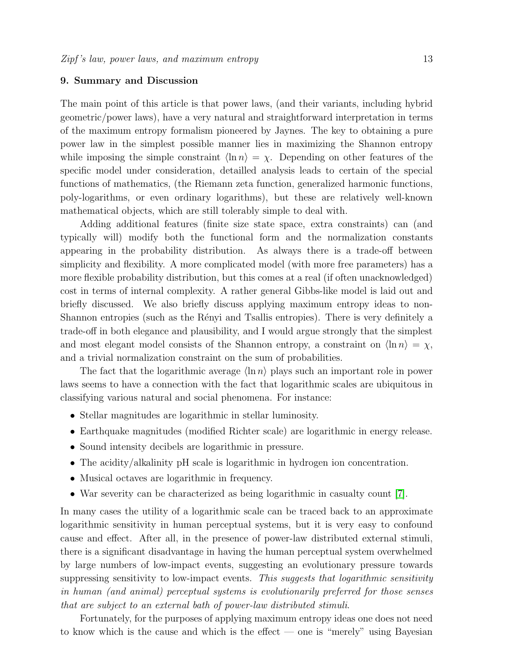## <span id="page-12-0"></span>9. Summary and Discussion

The main point of this article is that power laws, (and their variants, including hybrid geometric/power laws), have a very natural and straightforward interpretation in terms of the maximum entropy formalism pioneered by Jaynes. The key to obtaining a pure power law in the simplest possible manner lies in maximizing the Shannon entropy while imposing the simple constraint  $\langle \ln n \rangle = \chi$ . Depending on other features of the specific model under consideration, detailled analysis leads to certain of the special functions of mathematics, (the Riemann zeta function, generalized harmonic functions, poly-logarithms, or even ordinary logarithms), but these are relatively well-known mathematical objects, which are still tolerably simple to deal with.

Adding additional features (finite size state space, extra constraints) can (and typically will) modify both the functional form and the normalization constants appearing in the probability distribution. As always there is a trade-off between simplicity and flexibility. A more complicated model (with more free parameters) has a more flexible probability distribution, but this comes at a real (if often unacknowledged) cost in terms of internal complexity. A rather general Gibbs-like model is laid out and briefly discussed. We also briefly discuss applying maximum entropy ideas to non-Shannon entropies (such as the Rényi and Tsallis entropies). There is very definitely a trade-off in both elegance and plausibility, and I would argue strongly that the simplest and most elegant model consists of the Shannon entropy, a constraint on  $\langle \ln n \rangle = \chi$ , and a trivial normalization constraint on the sum of probabilities.

The fact that the logarithmic average  $\langle \ln n \rangle$  plays such an important role in power laws seems to have a connection with the fact that logarithmic scales are ubiquitous in classifying various natural and social phenomena. For instance:

- Stellar magnitudes are logarithmic in stellar luminosity.
- Earthquake magnitudes (modified Richter scale) are logarithmic in energy release.
- Sound intensity decibels are logarithmic in pressure.
- The acidity/alkalinity pH scale is logarithmic in hydrogen ion concentration.
- Musical octaves are logarithmic in frequency.
- War severity can be characterized as being logarithmic in casualty count [\[7\]](#page-13-6).

In many cases the utility of a logarithmic scale can be traced back to an approximate logarithmic sensitivity in human perceptual systems, but it is very easy to confound cause and effect. After all, in the presence of power-law distributed external stimuli, there is a significant disadvantage in having the human perceptual system overwhelmed by large numbers of low-impact events, suggesting an evolutionary pressure towards suppressing sensitivity to low-impact events. This suggests that logarithmic sensitivity in human (and animal) perceptual systems is evolutionarily preferred for those senses that are subject to an external bath of power-law distributed stimuli.

Fortunately, for the purposes of applying maximum entropy ideas one does not need to know which is the cause and which is the effect — one is "merely" using Bayesian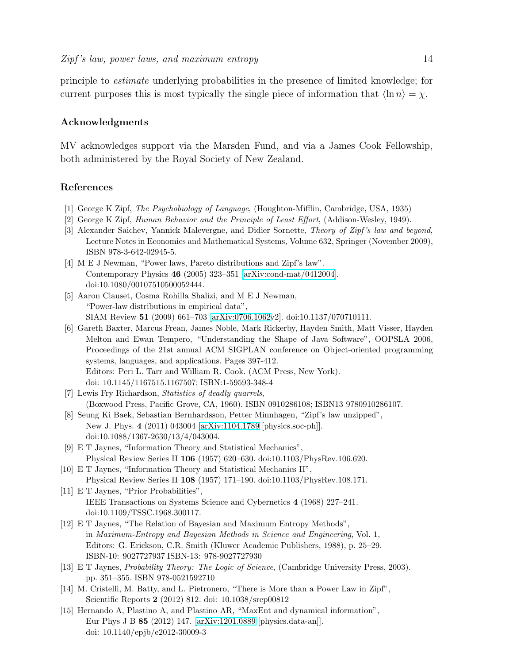principle to estimate underlying probabilities in the presence of limited knowledge; for current purposes this is most typically the single piece of information that  $\langle \ln n \rangle = \chi$ .

## Acknowledgments

MV acknowledges support via the Marsden Fund, and via a James Cook Fellowship, both administered by the Royal Society of New Zealand.

## <span id="page-13-0"></span>References

- <span id="page-13-1"></span>[1] George K Zipf, The Psychobiology of Language, (Houghton-Mifflin, Cambridge, USA, 1935)
- <span id="page-13-2"></span>[2] George K Zipf, Human Behavior and the Principle of Least Effort, (Addison-Wesley, 1949).
- [3] Alexander Saichev, Yannick Malevergne, and Didier Sornette, Theory of Zipf 's law and beyond, Lecture Notes in Economics and Mathematical Systems, Volume 632, Springer (November 2009), ISBN 978-3-642-02945-5.
- <span id="page-13-3"></span>[4] M E J Newman, "Power laws, Pareto distributions and Zipf's law". Contemporary Physics 46 (2005) 323–351 [\[arXiv:cond-mat/0412004\]](http://arxiv.org/abs/cond-mat/0412004). doi:10.1080/00107510500052444.
- <span id="page-13-4"></span>[5] Aaron Clauset, Cosma Rohilla Shalizi, and M E J Newman, "Power-law distributions in empirical data", SIAM Review 51 (2009) 661–703 [\[arXiv:0706.1062v](http://arxiv.org/abs/0706.1062)2]. doi:10.1137/070710111.
- <span id="page-13-5"></span>[6] Gareth Baxter, Marcus Frean, James Noble, Mark Rickerby, Hayden Smith, Matt Visser, Hayden Melton and Ewan Tempero, "Understanding the Shape of Java Software", OOPSLA 2006, Proceedings of the 21st annual ACM SIGPLAN conference on Object-oriented programming systems, languages, and applications. Pages 397-412. Editors: Peri L. Tarr and William R. Cook. (ACM Press, New York). doi: 10.1145/1167515.1167507; ISBN:1-59593-348-4
- <span id="page-13-7"></span><span id="page-13-6"></span>[7] Lewis Fry Richardson, Statistics of deadly quarrels, (Boxwood Press, Pacific Grove, CA, 1960). ISBN 0910286108; ISBN13 9780910286107.
- [8] Seung Ki Baek, Sebastian Bernhardsson, Petter Minnhagen, "Zipf's law unzipped", New J. Phys. 4 (2011) 043004 [\[arXiv:1104.1789](http://arxiv.org/abs/1104.1789) [physics.soc-ph]]. doi:10.1088/1367-2630/13/4/043004.
- <span id="page-13-8"></span>[9] E T Jaynes, "Information Theory and Statistical Mechanics", Physical Review Series II 106 (1957) 620–630. doi:10.1103/PhysRev.106.620.
- <span id="page-13-10"></span><span id="page-13-9"></span>[10] E T Jaynes, "Information Theory and Statistical Mechanics II", Physical Review Series II 108 (1957) 171–190. doi:10.1103/PhysRev.108.171.
- [11] E T Jaynes, "Prior Probabilities", IEEE Transactions on Systems Science and Cybernetics 4 (1968) 227–241. doi:10.1109/TSSC.1968.300117.
- <span id="page-13-11"></span>[12] E T Jaynes, "The Relation of Bayesian and Maximum Entropy Methods", in Maximum-Entropy and Bayesian Methods in Science and Engineering, Vol. 1, Editors: G. Erickson, C.R. Smith (Kluwer Academic Publishers, 1988), p. 25–29. ISBN-10: 9027727937 ISBN-13: 978-9027727930
- <span id="page-13-12"></span>[13] E T Jaynes, Probability Theory: The Logic of Science, (Cambridge University Press, 2003). pp. 351–355. ISBN 978-0521592710
- <span id="page-13-13"></span>[14] M. Cristelli, M. Batty, and L. Pietronero, "There is More than a Power Law in Zipf", Scientific Reports 2 (2012) 812. doi: 10.1038/srep00812
- <span id="page-13-14"></span>[15] Hernando A, Plastino A, and Plastino AR, "MaxEnt and dynamical information", Eur Phys J B 85 (2012) 147. [\[arXiv:1201.0889](http://arxiv.org/abs/1201.0889) [physics.data-an]]. doi: 10.1140/epjb/e2012-30009-3